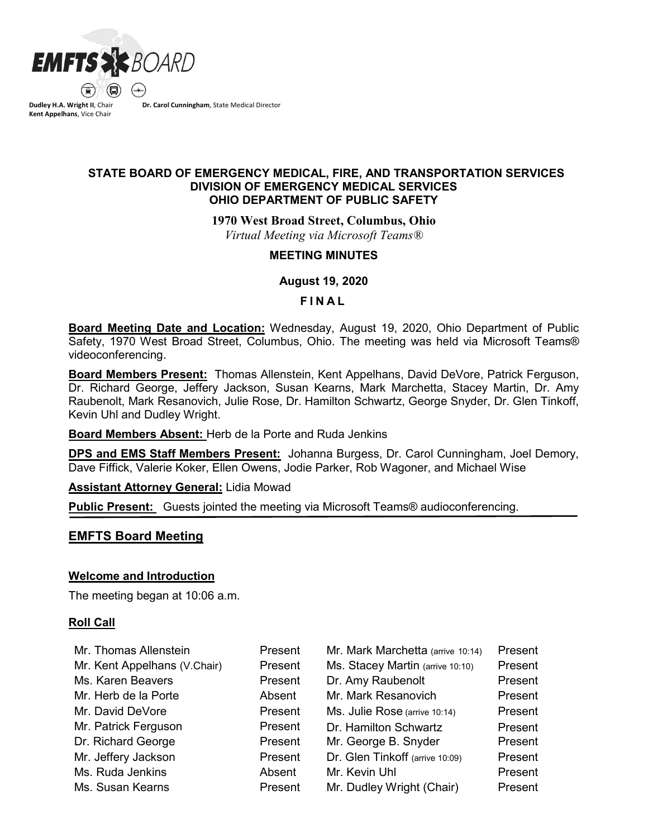

**Dudley H.A. Wright II**, Chair **Kent Appelhans**, Vice Chair

**Dr. Carol Cunningham**, State Medical Director

## **STATE BOARD OF EMERGENCY MEDICAL, FIRE, AND TRANSPORTATION SERVICES DIVISION OF EMERGENCY MEDICAL SERVICES OHIO DEPARTMENT OF PUBLIC SAFETY**

**1970 West Broad Street, Columbus, Ohio**

*Virtual Meeting via Microsoft Teams®*

### **MEETING MINUTES**

**August 19, 2020** 

### **F INAL**

**Board Meeting Date and Location:** Wednesday, August 19, 2020, Ohio Department of Public Safety, 1970 West Broad Street, Columbus, Ohio. The meeting was held via Microsoft Teams® videoconferencing.

**Board Members Present:** Thomas Allenstein, Kent Appelhans, David DeVore, Patrick Ferguson, Dr. Richard George, Jeffery Jackson, Susan Kearns, Mark Marchetta, Stacey Martin, Dr. Amy Raubenolt, Mark Resanovich, Julie Rose, Dr. Hamilton Schwartz, George Snyder, Dr. Glen Tinkoff, Kevin Uhl and Dudley Wright.

**Board Members Absent:** Herb de la Porte and Ruda Jenkins

**DPS and EMS Staff Members Present:** Johanna Burgess, Dr. Carol Cunningham, Joel Demory, Dave Fiffick, Valerie Koker, Ellen Owens, Jodie Parker, Rob Wagoner, and Michael Wise

**Assistant Attorney General:** Lidia Mowad

**Public Present:** Guests jointed the meeting via Microsoft Teams® audioconferencing.

## **EMFTS Board Meeting**

## **Welcome and Introduction**

The meeting began at 10:06 a.m.

## **Roll Call**

| Mr. Thomas Allenstein        | Present | Mr. Mark Marchetta (arrive 10:14) | Present |
|------------------------------|---------|-----------------------------------|---------|
| Mr. Kent Appelhans (V.Chair) | Present | Ms. Stacey Martin (arrive 10:10)  | Present |
| Ms. Karen Beavers            | Present | Dr. Amy Raubenolt                 | Present |
| Mr. Herb de la Porte         | Absent  | Mr. Mark Resanovich               | Present |
| Mr. David DeVore             | Present | Ms. Julie Rose (arrive 10:14)     | Present |
| Mr. Patrick Ferguson         | Present | Dr. Hamilton Schwartz             | Present |
| Dr. Richard George           | Present | Mr. George B. Snyder              | Present |
| Mr. Jeffery Jackson          | Present | Dr. Glen Tinkoff (arrive 10:09)   | Present |
| Ms. Ruda Jenkins             | Absent  | Mr. Kevin Uhl                     | Present |
| Ms. Susan Kearns             | Present | Mr. Dudley Wright (Chair)         | Present |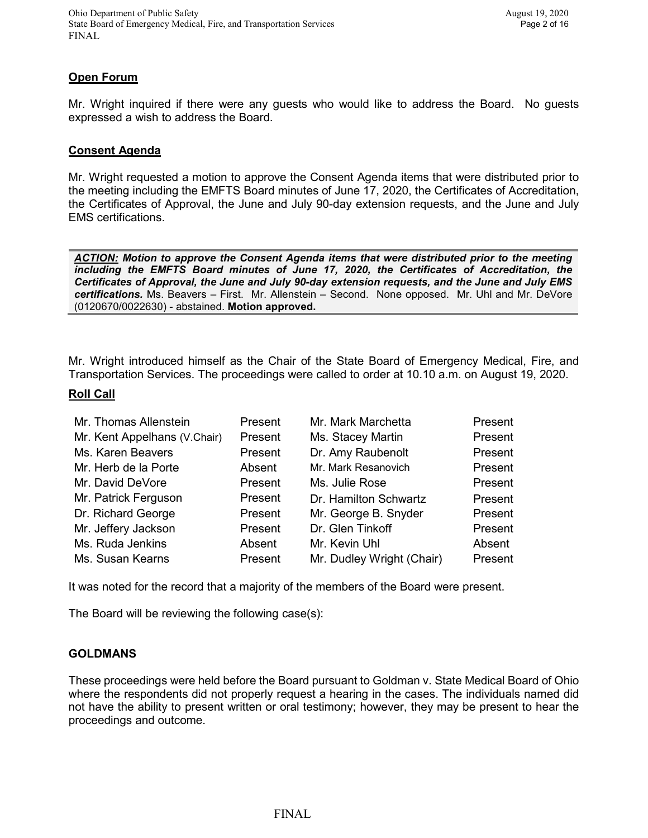## **Open Forum**

Mr. Wright inquired if there were any guests who would like to address the Board. No guests expressed a wish to address the Board.

#### **Consent Agenda**

Mr. Wright requested a motion to approve the Consent Agenda items that were distributed prior to the meeting including the EMFTS Board minutes of June 17, 2020, the Certificates of Accreditation, the Certificates of Approval, the June and July 90-day extension requests, and the June and July EMS certifications.

*ACTION: Motion to approve the Consent Agenda items that were distributed prior to the meeting including the EMFTS Board minutes of June 17, 2020, the Certificates of Accreditation, the Certificates of Approval, the June and July 90-day extension requests, and the June and July EMS certifications.* Ms. Beavers – First. Mr. Allenstein – Second. None opposed. Mr. Uhl and Mr. DeVore (0120670/0022630) - abstained. **Motion approved.**

Mr. Wright introduced himself as the Chair of the State Board of Emergency Medical, Fire, and Transportation Services. The proceedings were called to order at 10.10 a.m. on August 19, 2020.

#### **Roll Call**

| Mr. Thomas Allenstein        | Present | Mr. Mark Marchetta        | Present |
|------------------------------|---------|---------------------------|---------|
| Mr. Kent Appelhans (V.Chair) | Present | Ms. Stacey Martin         | Present |
| Ms. Karen Beavers            | Present | Dr. Amy Raubenolt         | Present |
| Mr. Herb de la Porte         | Absent  | Mr. Mark Resanovich       | Present |
| Mr. David DeVore             | Present | Ms. Julie Rose            | Present |
| Mr. Patrick Ferguson         | Present | Dr. Hamilton Schwartz     | Present |
| Dr. Richard George           | Present | Mr. George B. Snyder      | Present |
| Mr. Jeffery Jackson          | Present | Dr. Glen Tinkoff          | Present |
| Ms. Ruda Jenkins             | Absent  | Mr. Kevin Uhl             | Absent  |
| Ms. Susan Kearns             | Present | Mr. Dudley Wright (Chair) | Present |

It was noted for the record that a majority of the members of the Board were present.

The Board will be reviewing the following case(s):

#### **GOLDMANS**

These proceedings were held before the Board pursuant to Goldman v. State Medical Board of Ohio where the respondents did not properly request a hearing in the cases. The individuals named did not have the ability to present written or oral testimony; however, they may be present to hear the proceedings and outcome.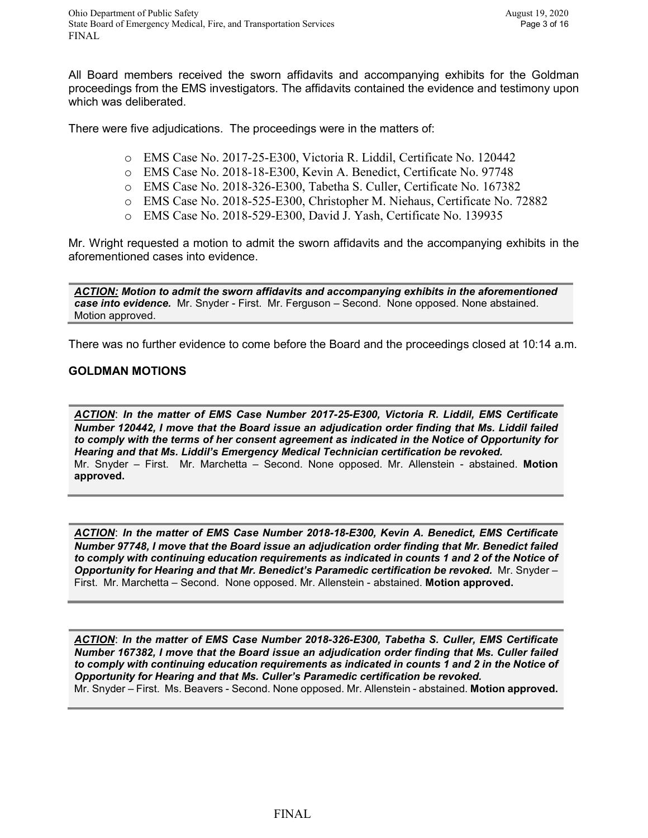All Board members received the sworn affidavits and accompanying exhibits for the Goldman proceedings from the EMS investigators. The affidavits contained the evidence and testimony upon which was deliberated.

There were five adjudications. The proceedings were in the matters of:

- o EMS Case No. 2017-25-E300, Victoria R. Liddil, Certificate No. 120442
- o EMS Case No. 2018-18-E300, Kevin A. Benedict, Certificate No. 97748
- o EMS Case No. 2018-326-E300, Tabetha S. Culler, Certificate No. 167382
- o EMS Case No. 2018-525-E300, Christopher M. Niehaus, Certificate No. 72882
- o EMS Case No. 2018-529-E300, David J. Yash, Certificate No. 139935

Mr. Wright requested a motion to admit the sworn affidavits and the accompanying exhibits in the aforementioned cases into evidence.

*ACTION: Motion to admit the sworn affidavits and accompanying exhibits in the aforementioned case into evidence.* Mr. Snyder - First. Mr. Ferguson – Second. None opposed. None abstained. Motion approved.

There was no further evidence to come before the Board and the proceedings closed at 10:14 a.m.

### **GOLDMAN MOTIONS**

*ACTION*: *In the matter of EMS Case Number 2017-25-E300, Victoria R. Liddil, EMS Certificate Number 120442, I move that the Board issue an adjudication order finding that Ms. Liddil failed to comply with the terms of her consent agreement as indicated in the Notice of Opportunity for Hearing and that Ms. Liddil's Emergency Medical Technician certification be revoked.* Mr. Snyder – First. Mr. Marchetta – Second. None opposed. Mr. Allenstein - abstained. **Motion approved.**

*ACTION*: *In the matter of EMS Case Number 2018-18-E300, Kevin A. Benedict, EMS Certificate Number 97748, I move that the Board issue an adjudication order finding that Mr. Benedict failed to comply with continuing education requirements as indicated in counts 1 and 2 of the Notice of Opportunity for Hearing and that Mr. Benedict's Paramedic certification be revoked.* Mr. Snyder – First. Mr. Marchetta – Second. None opposed. Mr. Allenstein - abstained. **Motion approved.**

*ACTION*: *In the matter of EMS Case Number 2018-326-E300, Tabetha S. Culler, EMS Certificate Number 167382, I move that the Board issue an adjudication order finding that Ms. Culler failed to comply with continuing education requirements as indicated in counts 1 and 2 in the Notice of Opportunity for Hearing and that Ms. Culler's Paramedic certification be revoked.* Mr. Snyder – First. Ms. Beavers - Second. None opposed. Mr. Allenstein - abstained. **Motion approved.**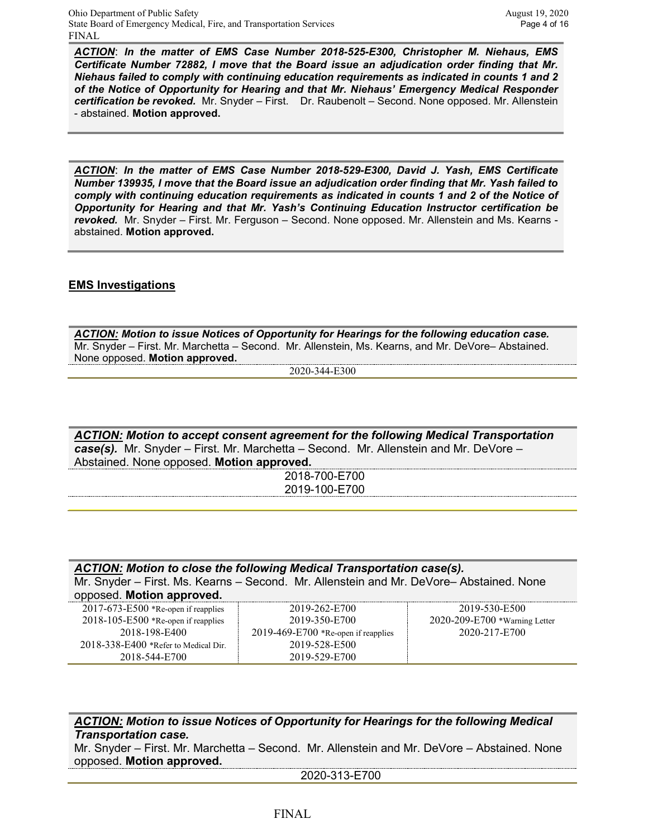*ACTION*: *In the matter of EMS Case Number 2018-525-E300, Christopher M. Niehaus, EMS Certificate Number 72882, I move that the Board issue an adjudication order finding that Mr. Niehaus failed to comply with continuing education requirements as indicated in counts 1 and 2 of the Notice of Opportunity for Hearing and that Mr. Niehaus' Emergency Medical Responder certification be revoked.* Mr. Snyder – First. Dr. Raubenolt – Second. None opposed. Mr. Allenstein - abstained. **Motion approved.**

*ACTION*: *In the matter of EMS Case Number 2018-529-E300, David J. Yash, EMS Certificate Number 139935, I move that the Board issue an adjudication order finding that Mr. Yash failed to comply with continuing education requirements as indicated in counts 1 and 2 of the Notice of Opportunity for Hearing and that Mr. Yash's Continuing Education Instructor certification be revoked.* Mr. Snyder – First. Mr. Ferguson – Second. None opposed. Mr. Allenstein and Ms. Kearns abstained. **Motion approved.**

## **EMS Investigations**

*ACTION: Motion to issue Notices of Opportunity for Hearings for the following education case.*  Mr. Snyder – First. Mr. Marchetta – Second. Mr. Allenstein, Ms. Kearns, and Mr. DeVore– Abstained. None opposed. **Motion approved.**

2020-344-E300

*ACTION: Motion to accept consent agreement for the following Medical Transportation case(s).* Mr. Snyder – First. Mr. Marchetta – Second. Mr. Allenstein and Mr. DeVore – Abstained. None opposed. **Motion approved.**

> 2018-700-E700 2019-100-E700

| ACTION: Motion to close the following Medical Transportation case(s).                  |                                       |                                     |  |
|----------------------------------------------------------------------------------------|---------------------------------------|-------------------------------------|--|
| Mr. Snyder - First. Ms. Kearns - Second. Mr. Allenstein and Mr. DeVore-Abstained. None |                                       |                                     |  |
| opposed. Motion approved.                                                              |                                       |                                     |  |
| $2017-673-E500$ *Re-open if reapplies                                                  | 2019-262-E700                         | 2019-530-E500                       |  |
| $2018 - 105 - E500$ *Re-open if reapplies                                              | 2019-350-E700                         | $2020 - 209 - E700$ *Warning Letter |  |
| 2018-198-E400                                                                          | $2019-469-E700$ *Re-open if reapplies | 2020-217-E700                       |  |
| 2018-338-E400 *Refer to Medical Dir.                                                   | 2019-528-E500                         |                                     |  |
| 2018-544-E700                                                                          | 2019-529-E700                         |                                     |  |

*ACTION: Motion to issue Notices of Opportunity for Hearings for the following Medical Transportation case.* 

Mr. Snyder – First. Mr. Marchetta – Second. Mr. Allenstein and Mr. DeVore – Abstained. None opposed. **Motion approved.**

2020-313-E700

### FINAL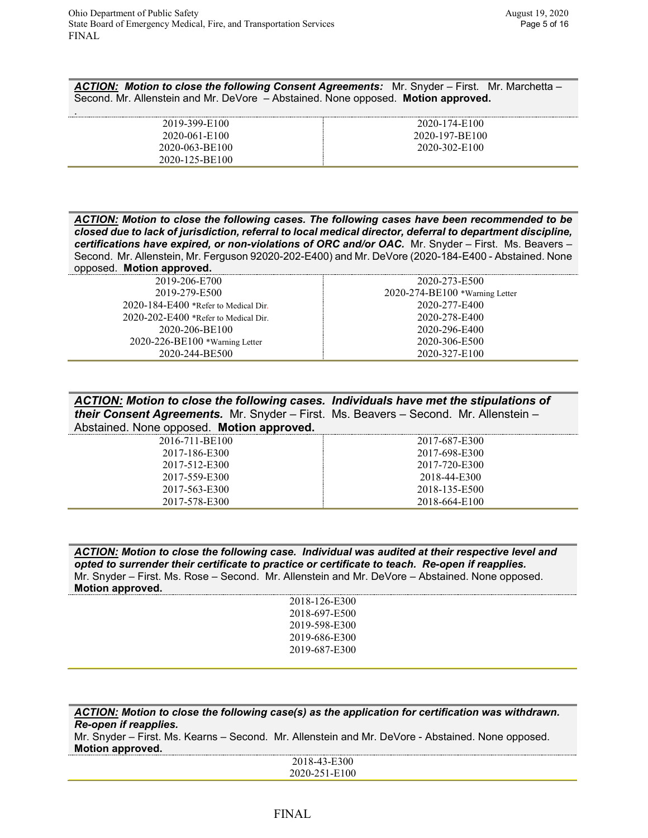.

*ACTION: Motion to close the following Consent Agreements:* Mr. Snyder – First. Mr. Marchetta – Second. Mr. Allenstein and Mr. DeVore – Abstained. None opposed. **Motion approved.**

| 2019-399-E100  | 2020-174-E100  |
|----------------|----------------|
| 2020-061-E100  | 2020-197-BE100 |
| 2020-063-BE100 | 2020-302-E100  |
| 2020-125-BE100 |                |

| ACTION: Motion to close the following cases. The following cases have been recommended to be               |
|------------------------------------------------------------------------------------------------------------|
| closed due to lack of jurisdiction, referral to local medical director, deferral to department discipline, |
| certifications have expired, or non-violations of ORC and/or OAC. Mr. Snyder – First. Ms. Beavers –        |
| Second. Mr. Allenstein, Mr. Ferguson 92020-202-E400) and Mr. DeVore (2020-184-E400 - Abstained. None       |
| apponed Mation approval                                                                                    |

opposed. **Motion approved.** 2019-206-E700 2019-279-E500 2020-184-E400 \*Refer to Medical Dir. 2020-202-E400 \*Refer to Medical Dir. 2020-206-BE100 2020-226-BE100 \*Warning Letter 2020-244-BE500 2020-273-E500 2020-274-BE100 \*Warning Letter 2020-277-E400 2020-278-E400 2020-296-E400 2020-306-E500 2020-327-E100

| ACTION: Motion to close the following cases. Individuals have met the stipulations of |               |  |
|---------------------------------------------------------------------------------------|---------------|--|
| their Consent Agreements. Mr. Snyder - First. Ms. Beavers - Second. Mr. Allenstein -  |               |  |
| Abstained. None opposed. Motion approved.                                             |               |  |
| 2016-711-BE100                                                                        | 2017-687-E300 |  |

| 2016-711-BE100 |  |
|----------------|--|
| 2017-186-E300  |  |
| 2017-512-E300  |  |
| 2017-559-E300  |  |
| 2017-563-E300  |  |
| 2017-578-E300  |  |

*ACTION: Motion to close the following case. Individual was audited at their respective level and opted to surrender their certificate to practice or certificate to teach. Re-open if reapplies.*

2017-698-E300 2017-720-E300 2018-44-E300 2018-135-E500 2018-664-E100

Mr. Snyder – First. Ms. Rose – Second. Mr. Allenstein and Mr. DeVore – Abstained. None opposed. **Motion approved.**

| 2018-126-E300 |  |
|---------------|--|
| 2018-697-E500 |  |
| 2019-598-E300 |  |
| 2019-686-E300 |  |
| 2019-687-E300 |  |
|               |  |

| ACTION: Motion to close the following case(s) as the application for certification was withdrawn. |
|---------------------------------------------------------------------------------------------------|
| Re-open if reapplies.                                                                             |
| Mr. Snyder – First. Ms. Kearns – Second. Mr. Allenstein and Mr. DeVore - Abstained. None opposed. |
| Motion approved.                                                                                  |
| 2018-43-E300                                                                                      |
| 2020-251-E100                                                                                     |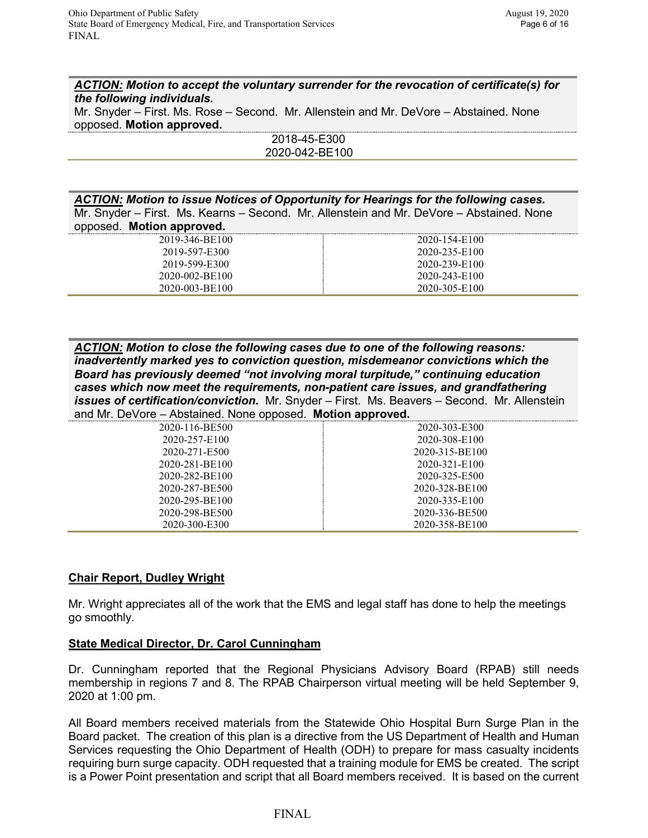*ACTION: Motion to accept the voluntary surrender for the revocation of certificate(s) for the following individuals.* 

Mr. Snyder – First. Ms. Rose – Second. Mr. Allenstein and Mr. DeVore – Abstained. None opposed. **Motion approved.**

> 2018-45-E300 2020-042-BE100

*ACTION: Motion to issue Notices of Opportunity for Hearings for the following cases.*  Mr. Snyder – First. Ms. Kearns – Second. Mr. Allenstein and Mr. DeVore – Abstained. None opposed. **Motion approved.**

| 2019-346-BE100 | 2020-154-E100 |
|----------------|---------------|
| 2019-597-E300  | 2020-235-E100 |
| 2019-599-E300  | 2020-239-E100 |
| 2020-002-BE100 | 2020-243-E100 |
| 2020-003-BE100 | 2020-305-E100 |

*ACTION: Motion to close the following cases due to one of the following reasons: inadvertently marked yes to conviction question, misdemeanor convictions which the Board has previously deemed "not involving moral turpitude," continuing education cases which now meet the requirements, non-patient care issues, and grandfathering issues of certification/conviction.* Mr. Snyder – First. Ms. Beavers – Second. Mr. Allenstein and Mr. DeVore – Abstained. None opposed. **Motion approved.**

| 2020-116-BE500 | 2020-303-E300  |
|----------------|----------------|
| 2020-257-E100  | 2020-308-E100  |
| 2020-271-E500  | 2020-315-BE100 |
| 2020-281-BE100 | 2020-321-E100  |
| 2020-282-BE100 | 2020-325-E500  |
| 2020-287-BE500 | 2020-328-BE100 |
| 2020-295-BE100 | 2020-335-E100  |
| 2020-298-BE500 | 2020-336-BE500 |
| 2020-300-E300  | 2020-358-BE100 |

## **Chair Report, Dudley Wright**

Mr. Wright appreciates all of the work that the EMS and legal staff has done to help the meetings go smoothly.

#### **State Medical Director, Dr. Carol Cunningham**

Dr. Cunningham reported that the Regional Physicians Advisory Board (RPAB) still needs membership in regions 7 and 8. The RPAB Chairperson virtual meeting will be held September 9, 2020 at 1:00 pm.

All Board members received materials from the Statewide Ohio Hospital Burn Surge Plan in the Board packet. The creation of this plan is a directive from the US Department of Health and Human Services requesting the Ohio Department of Health (ODH) to prepare for mass casualty incidents requiring burn surge capacity. ODH requested that a training module for EMS be created. The script is a Power Point presentation and script that all Board members received. It is based on the current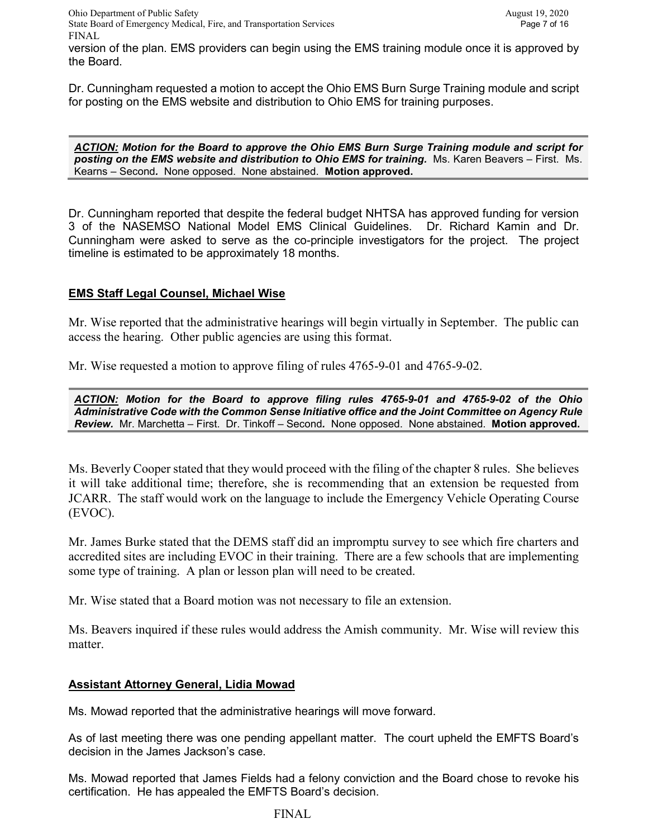version of the plan. EMS providers can begin using the EMS training module once it is approved by the Board.

Dr. Cunningham requested a motion to accept the Ohio EMS Burn Surge Training module and script for posting on the EMS website and distribution to Ohio EMS for training purposes.

*ACTION: Motion for the Board to approve the Ohio EMS Burn Surge Training module and script for posting on the EMS website and distribution to Ohio EMS for training.* Ms. Karen Beavers – First. Ms. Kearns – Second*.* None opposed. None abstained. **Motion approved.**

Dr. Cunningham reported that despite the federal budget NHTSA has approved funding for version 3 of the NASEMSO National Model EMS Clinical Guidelines. Dr. Richard Kamin and Dr. Cunningham were asked to serve as the co-principle investigators for the project. The project timeline is estimated to be approximately 18 months.

# **EMS Staff Legal Counsel, Michael Wise**

Mr. Wise reported that the administrative hearings will begin virtually in September. The public can access the hearing. Other public agencies are using this format.

Mr. Wise requested a motion to approve filing of rules 4765-9-01 and 4765-9-02.

*ACTION: Motion for the Board to approve filing rules 4765-9-01 and 4765-9-02 of the Ohio Administrative Code with the Common Sense Initiative office and the Joint Committee on Agency Rule Review.* Mr. Marchetta – First. Dr. Tinkoff – Second*.* None opposed. None abstained. **Motion approved.**

Ms. Beverly Cooper stated that they would proceed with the filing of the chapter 8 rules. She believes it will take additional time; therefore, she is recommending that an extension be requested from JCARR. The staff would work on the language to include the Emergency Vehicle Operating Course (EVOC).

Mr. James Burke stated that the DEMS staff did an impromptu survey to see which fire charters and accredited sites are including EVOC in their training. There are a few schools that are implementing some type of training. A plan or lesson plan will need to be created.

Mr. Wise stated that a Board motion was not necessary to file an extension.

Ms. Beavers inquired if these rules would address the Amish community. Mr. Wise will review this matter.

## **Assistant Attorney General, Lidia Mowad**

Ms. Mowad reported that the administrative hearings will move forward.

As of last meeting there was one pending appellant matter. The court upheld the EMFTS Board's decision in the James Jackson's case.

Ms. Mowad reported that James Fields had a felony conviction and the Board chose to revoke his certification. He has appealed the EMFTS Board's decision.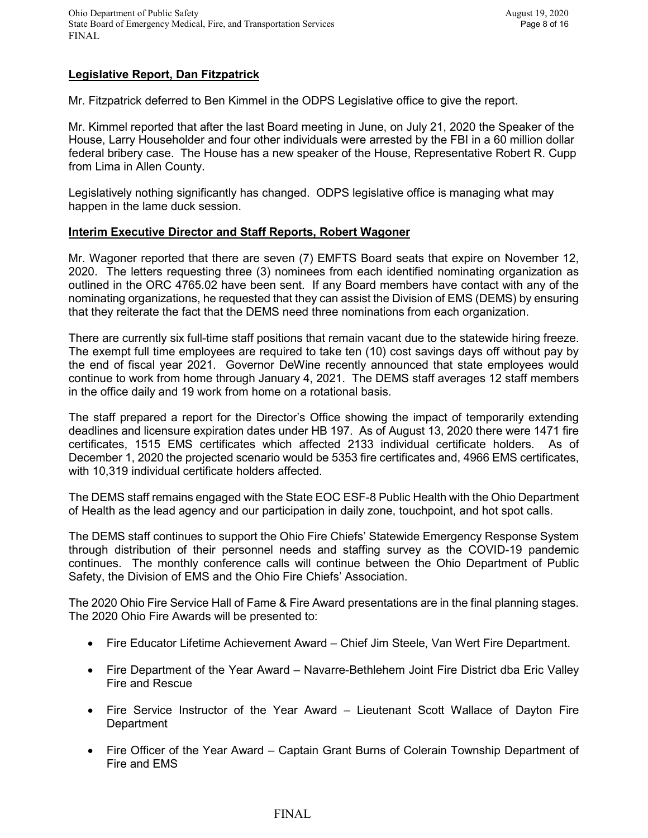## **Legislative Report, Dan Fitzpatrick**

Mr. Fitzpatrick deferred to Ben Kimmel in the ODPS Legislative office to give the report.

Mr. Kimmel reported that after the last Board meeting in June, on July 21, 2020 the Speaker of the House, Larry Householder and four other individuals were arrested by the FBI in a 60 million dollar federal bribery case. The House has a new speaker of the House, Representative Robert R. Cupp from Lima in Allen County.

Legislatively nothing significantly has changed. ODPS legislative office is managing what may happen in the lame duck session.

### **Interim Executive Director and Staff Reports, Robert Wagoner**

Mr. Wagoner reported that there are seven (7) EMFTS Board seats that expire on November 12, 2020. The letters requesting three (3) nominees from each identified nominating organization as outlined in the ORC 4765.02 have been sent. If any Board members have contact with any of the nominating organizations, he requested that they can assist the Division of EMS (DEMS) by ensuring that they reiterate the fact that the DEMS need three nominations from each organization.

There are currently six full-time staff positions that remain vacant due to the statewide hiring freeze. The exempt full time employees are required to take ten (10) cost savings days off without pay by the end of fiscal year 2021. Governor DeWine recently announced that state employees would continue to work from home through January 4, 2021. The DEMS staff averages 12 staff members in the office daily and 19 work from home on a rotational basis.

The staff prepared a report for the Director's Office showing the impact of temporarily extending deadlines and licensure expiration dates under HB 197. As of August 13, 2020 there were 1471 fire certificates, 1515 EMS certificates which affected 2133 individual certificate holders. As of December 1, 2020 the projected scenario would be 5353 fire certificates and, 4966 EMS certificates, with 10,319 individual certificate holders affected.

The DEMS staff remains engaged with the State EOC ESF-8 Public Health with the Ohio Department of Health as the lead agency and our participation in daily zone, touchpoint, and hot spot calls.

The DEMS staff continues to support the Ohio Fire Chiefs' Statewide Emergency Response System through distribution of their personnel needs and staffing survey as the COVID-19 pandemic continues. The monthly conference calls will continue between the Ohio Department of Public Safety, the Division of EMS and the Ohio Fire Chiefs' Association.

The 2020 Ohio Fire Service Hall of Fame & Fire Award presentations are in the final planning stages. The 2020 Ohio Fire Awards will be presented to:

- Fire Educator Lifetime Achievement Award Chief Jim Steele, Van Wert Fire Department.
- Fire Department of the Year Award Navarre-Bethlehem Joint Fire District dba Eric Valley Fire and Rescue
- Fire Service Instructor of the Year Award Lieutenant Scott Wallace of Dayton Fire **Department**
- Fire Officer of the Year Award Captain Grant Burns of Colerain Township Department of Fire and EMS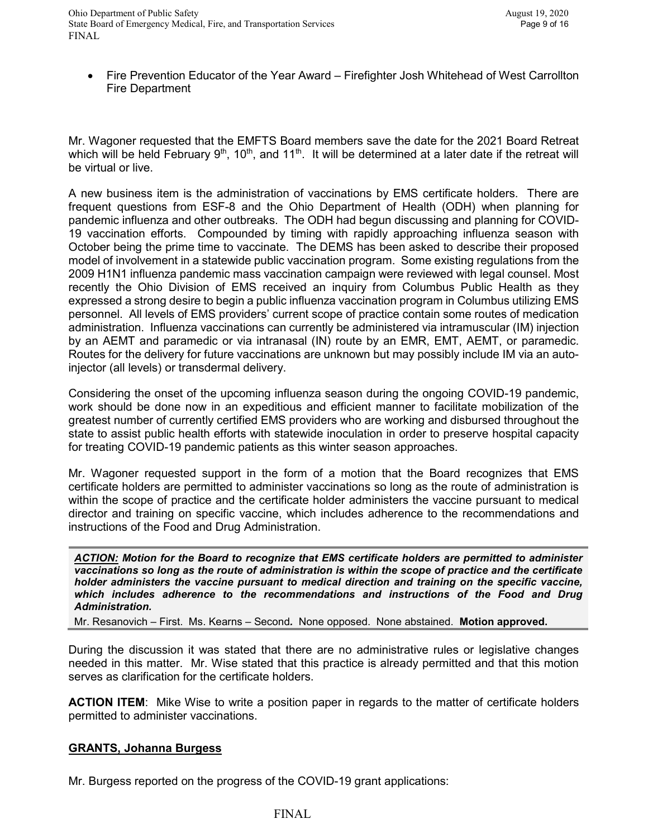• Fire Prevention Educator of the Year Award – Firefighter Josh Whitehead of West Carrollton Fire Department

Mr. Wagoner requested that the EMFTS Board members save the date for the 2021 Board Retreat which will be held February  $9<sup>th</sup>$ , 10<sup>th</sup>, and 11<sup>th</sup>. It will be determined at a later date if the retreat will be virtual or live.

A new business item is the administration of vaccinations by EMS certificate holders. There are frequent questions from ESF-8 and the Ohio Department of Health (ODH) when planning for pandemic influenza and other outbreaks. The ODH had begun discussing and planning for COVID-19 vaccination efforts. Compounded by timing with rapidly approaching influenza season with October being the prime time to vaccinate. The DEMS has been asked to describe their proposed model of involvement in a statewide public vaccination program. Some existing regulations from the 2009 H1N1 influenza pandemic mass vaccination campaign were reviewed with legal counsel. Most recently the Ohio Division of EMS received an inquiry from Columbus Public Health as they expressed a strong desire to begin a public influenza vaccination program in Columbus utilizing EMS personnel. All levels of EMS providers' current scope of practice contain some routes of medication administration. Influenza vaccinations can currently be administered via intramuscular (IM) injection by an AEMT and paramedic or via intranasal (IN) route by an EMR, EMT, AEMT, or paramedic. Routes for the delivery for future vaccinations are unknown but may possibly include IM via an autoinjector (all levels) or transdermal delivery.

Considering the onset of the upcoming influenza season during the ongoing COVID-19 pandemic, work should be done now in an expeditious and efficient manner to facilitate mobilization of the greatest number of currently certified EMS providers who are working and disbursed throughout the state to assist public health efforts with statewide inoculation in order to preserve hospital capacity for treating COVID-19 pandemic patients as this winter season approaches.

Mr. Wagoner requested support in the form of a motion that the Board recognizes that EMS certificate holders are permitted to administer vaccinations so long as the route of administration is within the scope of practice and the certificate holder administers the vaccine pursuant to medical director and training on specific vaccine, which includes adherence to the recommendations and instructions of the Food and Drug Administration.

*ACTION: Motion for the Board to recognize that EMS certificate holders are permitted to administer vaccinations so long as the route of administration is within the scope of practice and the certificate holder administers the vaccine pursuant to medical direction and training on the specific vaccine, which includes adherence to the recommendations and instructions of the Food and Drug Administration.*

Mr. Resanovich – First. Ms. Kearns – Second*.* None opposed. None abstained. **Motion approved.**

During the discussion it was stated that there are no administrative rules or legislative changes needed in this matter. Mr. Wise stated that this practice is already permitted and that this motion serves as clarification for the certificate holders.

**ACTION ITEM**: Mike Wise to write a position paper in regards to the matter of certificate holders permitted to administer vaccinations.

## **GRANTS, Johanna Burgess**

Mr. Burgess reported on the progress of the COVID-19 grant applications:

#### FINAL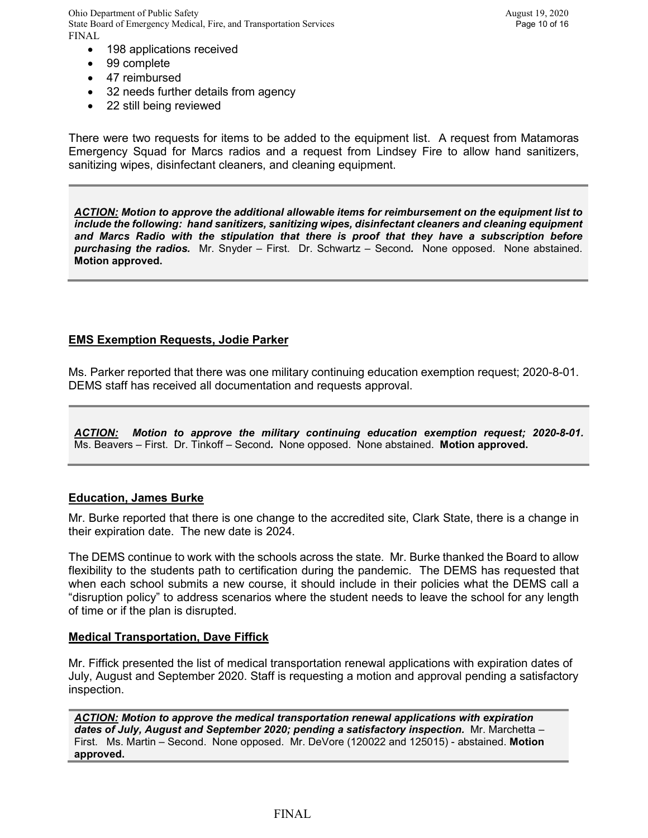Ohio Department of Public Safety August 19, 2020 State Board of Emergency Medical, Fire, and Transportation Services Page 10 of 16 FINAL

- 198 applications received
- 99 complete
- 47 reimbursed
- 32 needs further details from agency
- 22 still being reviewed

There were two requests for items to be added to the equipment list. A request from Matamoras Emergency Squad for Marcs radios and a request from Lindsey Fire to allow hand sanitizers, sanitizing wipes, disinfectant cleaners, and cleaning equipment.

*ACTION: Motion to approve the additional allowable items for reimbursement on the equipment list to include the following: hand sanitizers, sanitizing wipes, disinfectant cleaners and cleaning equipment and Marcs Radio with the stipulation that there is proof that they have a subscription before purchasing the radios.* Mr. Snyder – First. Dr. Schwartz – Second*.* None opposed. None abstained. **Motion approved.**

## **EMS Exemption Requests, Jodie Parker**

Ms. Parker reported that there was one military continuing education exemption request; 2020-8-01. DEMS staff has received all documentation and requests approval.

*ACTION: Motion to approve the military continuing education exemption request; 2020-8-01.*  Ms. Beavers – First. Dr. Tinkoff – Second*.* None opposed. None abstained. **Motion approved.**

#### **Education, James Burke**

Mr. Burke reported that there is one change to the accredited site, Clark State, there is a change in their expiration date. The new date is 2024.

The DEMS continue to work with the schools across the state. Mr. Burke thanked the Board to allow flexibility to the students path to certification during the pandemic. The DEMS has requested that when each school submits a new course, it should include in their policies what the DEMS call a "disruption policy" to address scenarios where the student needs to leave the school for any length of time or if the plan is disrupted.

#### **Medical Transportation, Dave Fiffick**

Mr. Fiffick presented the list of medical transportation renewal applications with expiration dates of July, August and September 2020. Staff is requesting a motion and approval pending a satisfactory inspection.

*ACTION: Motion to approve the medical transportation renewal applications with expiration dates of July, August and September 2020; pending a satisfactory inspection.* Mr. Marchetta – First. Ms. Martin – Second. None opposed. Mr. DeVore (120022 and 125015) - abstained. **Motion approved.**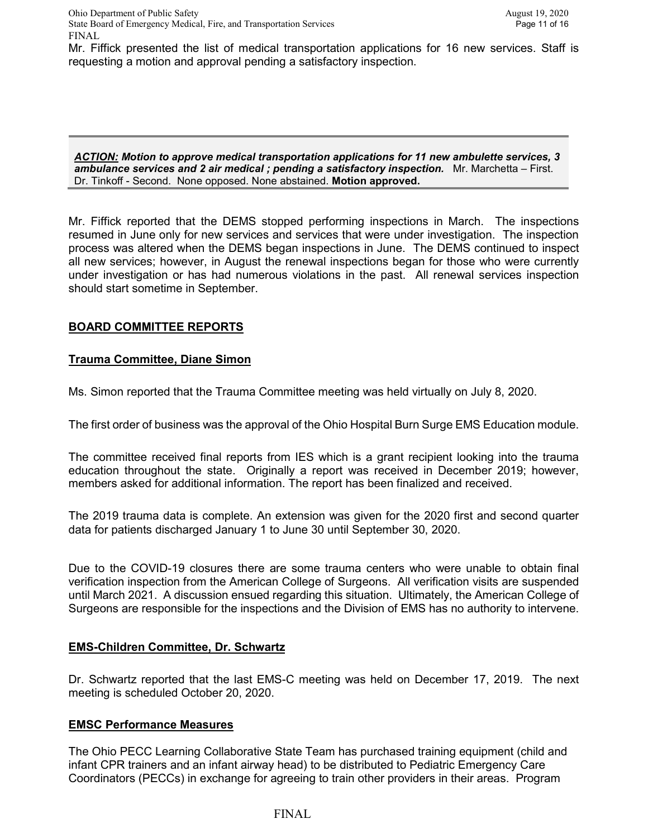Mr. Fiffick presented the list of medical transportation applications for 16 new services. Staff is requesting a motion and approval pending a satisfactory inspection.

*ACTION: Motion to approve medical transportation applications for 11 new ambulette services, 3 ambulance services and 2 air medical ; pending a satisfactory inspection.* Mr. Marchetta – First. Dr. Tinkoff - Second. None opposed. None abstained. **Motion approved.**

Mr. Fiffick reported that the DEMS stopped performing inspections in March. The inspections resumed in June only for new services and services that were under investigation. The inspection process was altered when the DEMS began inspections in June. The DEMS continued to inspect all new services; however, in August the renewal inspections began for those who were currently under investigation or has had numerous violations in the past. All renewal services inspection should start sometime in September.

## **BOARD COMMITTEE REPORTS**

#### **Trauma Committee, Diane Simon**

Ms. Simon reported that the Trauma Committee meeting was held virtually on July 8, 2020.

The first order of business was the approval of the Ohio Hospital Burn Surge EMS Education module.

The committee received final reports from IES which is a grant recipient looking into the trauma education throughout the state. Originally a report was received in December 2019; however, members asked for additional information. The report has been finalized and received.

The 2019 trauma data is complete. An extension was given for the 2020 first and second quarter data for patients discharged January 1 to June 30 until September 30, 2020.

Due to the COVID-19 closures there are some trauma centers who were unable to obtain final verification inspection from the American College of Surgeons. All verification visits are suspended until March 2021. A discussion ensued regarding this situation. Ultimately, the American College of Surgeons are responsible for the inspections and the Division of EMS has no authority to intervene.

#### **EMS-Children Committee, Dr. Schwartz**

Dr. Schwartz reported that the last EMS-C meeting was held on December 17, 2019. The next meeting is scheduled October 20, 2020.

#### **EMSC Performance Measures**

The Ohio PECC Learning Collaborative State Team has purchased training equipment (child and infant CPR trainers and an infant airway head) to be distributed to Pediatric Emergency Care Coordinators (PECCs) in exchange for agreeing to train other providers in their areas. Program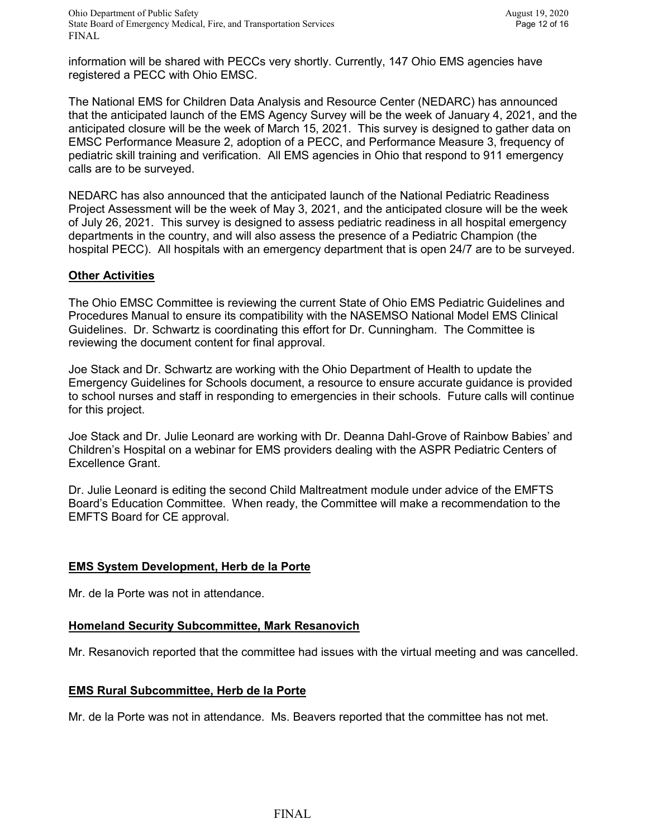information will be shared with PECCs very shortly. Currently, 147 Ohio EMS agencies have registered a PECC with Ohio EMSC.

The National EMS for Children Data Analysis and Resource Center (NEDARC) has announced that the anticipated launch of the EMS Agency Survey will be the week of January 4, 2021, and the anticipated closure will be the week of March 15, 2021. This survey is designed to gather data on EMSC Performance Measure 2, adoption of a PECC, and Performance Measure 3, frequency of pediatric skill training and verification. All EMS agencies in Ohio that respond to 911 emergency calls are to be surveyed.

NEDARC has also announced that the anticipated launch of the National Pediatric Readiness Project Assessment will be the week of May 3, 2021, and the anticipated closure will be the week of July 26, 2021. This survey is designed to assess pediatric readiness in all hospital emergency departments in the country, and will also assess the presence of a Pediatric Champion (the hospital PECC). All hospitals with an emergency department that is open 24/7 are to be surveyed.

### **Other Activities**

The Ohio EMSC Committee is reviewing the current State of Ohio EMS Pediatric Guidelines and Procedures Manual to ensure its compatibility with the NASEMSO National Model EMS Clinical Guidelines. Dr. Schwartz is coordinating this effort for Dr. Cunningham. The Committee is reviewing the document content for final approval.

Joe Stack and Dr. Schwartz are working with the Ohio Department of Health to update the Emergency Guidelines for Schools document, a resource to ensure accurate guidance is provided to school nurses and staff in responding to emergencies in their schools. Future calls will continue for this project.

Joe Stack and Dr. Julie Leonard are working with Dr. Deanna Dahl-Grove of Rainbow Babies' and Children's Hospital on a webinar for EMS providers dealing with the ASPR Pediatric Centers of Excellence Grant.

Dr. Julie Leonard is editing the second Child Maltreatment module under advice of the EMFTS Board's Education Committee. When ready, the Committee will make a recommendation to the EMFTS Board for CE approval.

#### **EMS System Development, Herb de la Porte**

Mr. de la Porte was not in attendance.

#### **Homeland Security Subcommittee, Mark Resanovich**

Mr. Resanovich reported that the committee had issues with the virtual meeting and was cancelled.

#### **EMS Rural Subcommittee, Herb de la Porte**

Mr. de la Porte was not in attendance. Ms. Beavers reported that the committee has not met.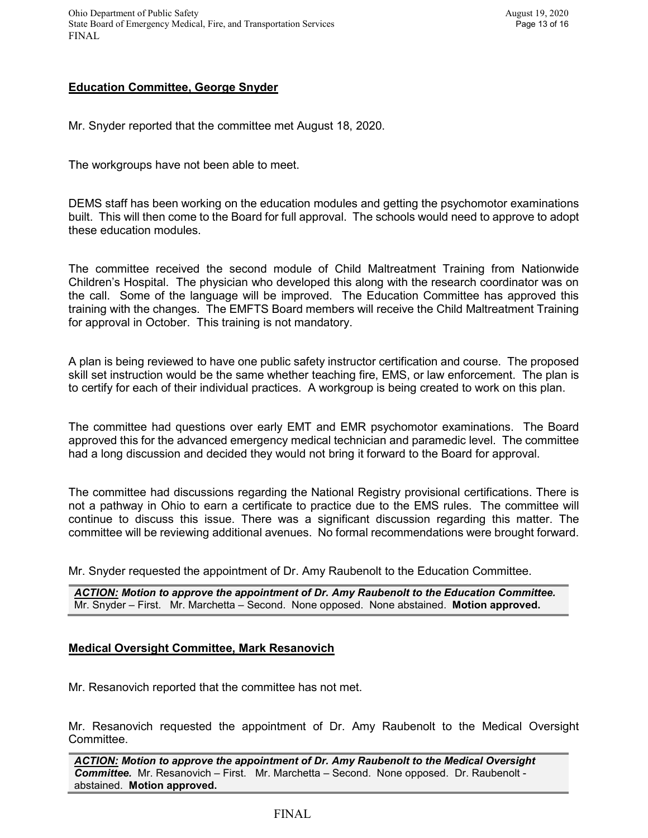# **Education Committee, George Snyder**

Mr. Snyder reported that the committee met August 18, 2020.

The workgroups have not been able to meet.

DEMS staff has been working on the education modules and getting the psychomotor examinations built. This will then come to the Board for full approval. The schools would need to approve to adopt these education modules.

The committee received the second module of Child Maltreatment Training from Nationwide Children's Hospital. The physician who developed this along with the research coordinator was on the call. Some of the language will be improved. The Education Committee has approved this training with the changes. The EMFTS Board members will receive the Child Maltreatment Training for approval in October. This training is not mandatory.

A plan is being reviewed to have one public safety instructor certification and course. The proposed skill set instruction would be the same whether teaching fire, EMS, or law enforcement. The plan is to certify for each of their individual practices. A workgroup is being created to work on this plan.

The committee had questions over early EMT and EMR psychomotor examinations. The Board approved this for the advanced emergency medical technician and paramedic level. The committee had a long discussion and decided they would not bring it forward to the Board for approval.

The committee had discussions regarding the National Registry provisional certifications. There is not a pathway in Ohio to earn a certificate to practice due to the EMS rules. The committee will continue to discuss this issue. There was a significant discussion regarding this matter. The committee will be reviewing additional avenues. No formal recommendations were brought forward.

Mr. Snyder requested the appointment of Dr. Amy Raubenolt to the Education Committee.

*ACTION: Motion to approve the appointment of Dr. Amy Raubenolt to the Education Committee.*  Mr. Snyder – First. Mr. Marchetta – Second. None opposed. None abstained. **Motion approved.**

## **Medical Oversight Committee, Mark Resanovich**

Mr. Resanovich reported that the committee has not met.

Mr. Resanovich requested the appointment of Dr. Amy Raubenolt to the Medical Oversight Committee.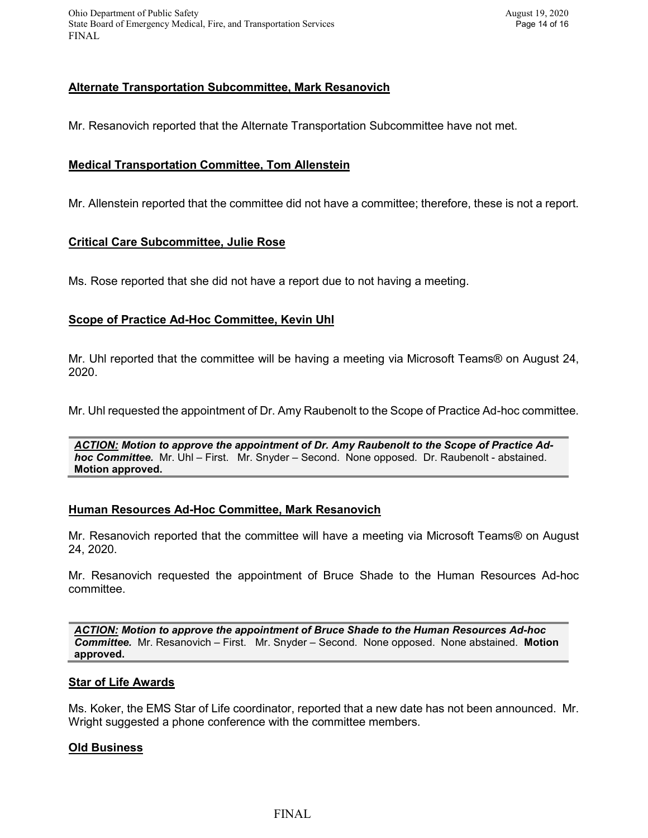Ohio Department of Public Safety<br>State Board of Emergency Medical, Fire, and Transportation Services Page 14 of 16 State Board of Emergency Medical, Fire, and Transportation Services FINAL

### **Alternate Transportation Subcommittee, Mark Resanovich**

Mr. Resanovich reported that the Alternate Transportation Subcommittee have not met.

#### **Medical Transportation Committee, Tom Allenstein**

Mr. Allenstein reported that the committee did not have a committee; therefore, these is not a report.

#### **Critical Care Subcommittee, Julie Rose**

Ms. Rose reported that she did not have a report due to not having a meeting.

# **Scope of Practice Ad-Hoc Committee, Kevin Uhl**

Mr. Uhl reported that the committee will be having a meeting via Microsoft Teams® on August 24, 2020.

Mr. Uhl requested the appointment of Dr. Amy Raubenolt to the Scope of Practice Ad-hoc committee.

*ACTION: Motion to approve the appointment of Dr. Amy Raubenolt to the Scope of Practice Adhoc Committee.* Mr. Uhl – First. Mr. Snyder – Second. None opposed. Dr. Raubenolt - abstained. **Motion approved.**

#### **Human Resources Ad-Hoc Committee, Mark Resanovich**

Mr. Resanovich reported that the committee will have a meeting via Microsoft Teams® on August 24, 2020.

Mr. Resanovich requested the appointment of Bruce Shade to the Human Resources Ad-hoc committee.

*ACTION: Motion to approve the appointment of Bruce Shade to the Human Resources Ad-hoc Committee.* Mr. Resanovich – First. Mr. Snyder – Second. None opposed. None abstained. **Motion approved.**

#### **Star of Life Awards**

Ms. Koker, the EMS Star of Life coordinator, reported that a new date has not been announced. Mr. Wright suggested a phone conference with the committee members.

#### **Old Business**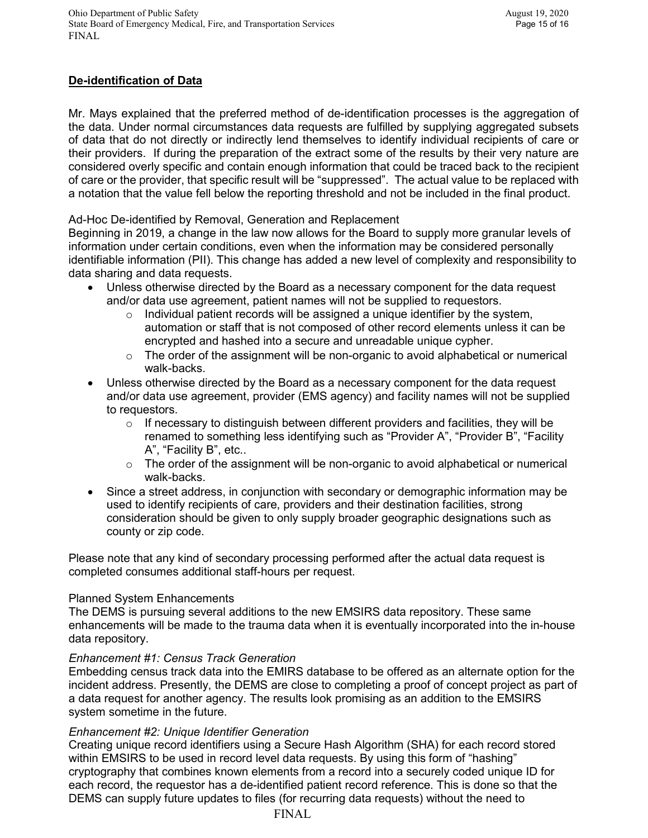# **De-identification of Data**

Mr. Mays explained that the preferred method of de-identification processes is the aggregation of the data. Under normal circumstances data requests are fulfilled by supplying aggregated subsets of data that do not directly or indirectly lend themselves to identify individual recipients of care or their providers. If during the preparation of the extract some of the results by their very nature are considered overly specific and contain enough information that could be traced back to the recipient of care or the provider, that specific result will be "suppressed". The actual value to be replaced with a notation that the value fell below the reporting threshold and not be included in the final product.

Ad-Hoc De-identified by Removal, Generation and Replacement

Beginning in 2019, a change in the law now allows for the Board to supply more granular levels of information under certain conditions, even when the information may be considered personally identifiable information (PII). This change has added a new level of complexity and responsibility to data sharing and data requests.

- Unless otherwise directed by the Board as a necessary component for the data request and/or data use agreement, patient names will not be supplied to requestors.
	- o Individual patient records will be assigned a unique identifier by the system, automation or staff that is not composed of other record elements unless it can be encrypted and hashed into a secure and unreadable unique cypher.
	- o The order of the assignment will be non-organic to avoid alphabetical or numerical walk-backs.
- Unless otherwise directed by the Board as a necessary component for the data request and/or data use agreement, provider (EMS agency) and facility names will not be supplied to requestors.
	- $\circ$  If necessary to distinguish between different providers and facilities, they will be renamed to something less identifying such as "Provider A", "Provider B", "Facility A", "Facility B", etc..
	- $\circ$  The order of the assignment will be non-organic to avoid alphabetical or numerical walk-backs.
- Since a street address, in conjunction with secondary or demographic information may be used to identify recipients of care, providers and their destination facilities, strong consideration should be given to only supply broader geographic designations such as county or zip code.

Please note that any kind of secondary processing performed after the actual data request is completed consumes additional staff-hours per request.

## Planned System Enhancements

The DEMS is pursuing several additions to the new EMSIRS data repository. These same enhancements will be made to the trauma data when it is eventually incorporated into the in-house data repository.

## *Enhancement #1: Census Track Generation*

Embedding census track data into the EMIRS database to be offered as an alternate option for the incident address. Presently, the DEMS are close to completing a proof of concept project as part of a data request for another agency. The results look promising as an addition to the EMSIRS system sometime in the future.

## *Enhancement #2: Unique Identifier Generation*

Creating unique record identifiers using a Secure Hash Algorithm (SHA) for each record stored within EMSIRS to be used in record level data requests. By using this form of "hashing" cryptography that combines known elements from a record into a securely coded unique ID for each record, the requestor has a de-identified patient record reference. This is done so that the DEMS can supply future updates to files (for recurring data requests) without the need to